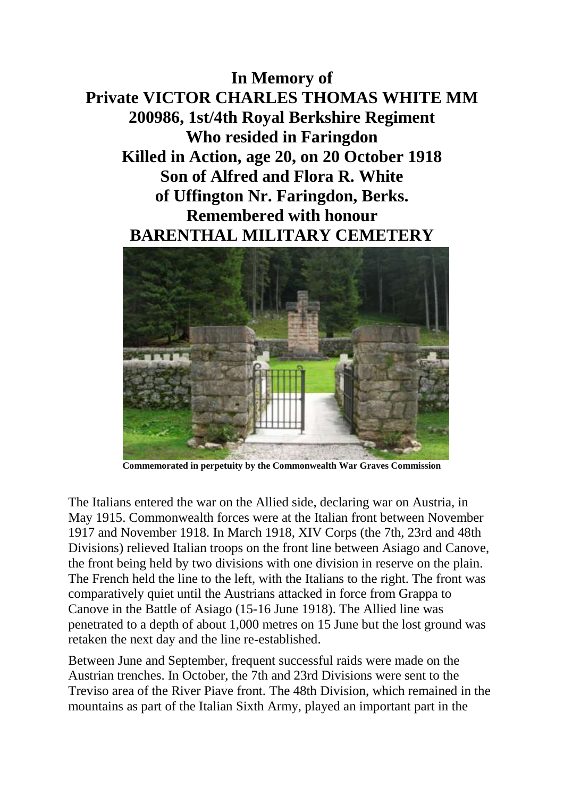**In Memory of Private VICTOR CHARLES THOMAS WHITE MM 200986, 1st/4th Royal Berkshire Regiment Who resided in Faringdon Killed in Action, age 20, on 20 October 1918 Son of Alfred and Flora R. White of Uffington Nr. Faringdon, Berks. Remembered with honour BARENTHAL MILITARY CEMETERY**



**Commemorated in perpetuity by the Commonwealth War Graves Commission** 

The Italians entered the war on the Allied side, declaring war on Austria, in May 1915. Commonwealth forces were at the Italian front between November 1917 and November 1918. In March 1918, XIV Corps (the 7th, 23rd and 48th Divisions) relieved Italian troops on the front line between Asiago and Canove, the front being held by two divisions with one division in reserve on the plain. The French held the line to the left, with the Italians to the right. The front was comparatively quiet until the Austrians attacked in force from Grappa to Canove in the Battle of Asiago (15-16 June 1918). The Allied line was penetrated to a depth of about 1,000 metres on 15 June but the lost ground was retaken the next day and the line re-established.

Between June and September, frequent successful raids were made on the Austrian trenches. In October, the 7th and 23rd Divisions were sent to the Treviso area of the River Piave front. The 48th Division, which remained in the mountains as part of the Italian Sixth Army, played an important part in the